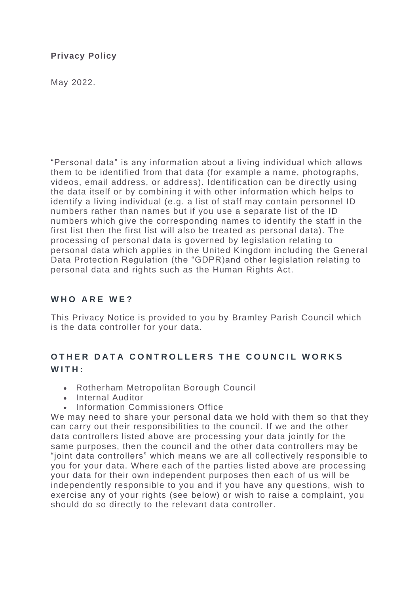### **Privacy Policy**

May 2022.

"Personal data" is any information about a living individual which allows them to be identified from that data (for example a name, photographs, videos, email address, or address). Identification can be directly using the data itself or by combining it with other information which helps to identify a living individual (e.g. a list of staff may contain personnel ID numbers rather than names but if you use a separate list of the ID numbers which give the corresponding names to identify the staff in the first list then the first list will also be treated as personal data). The processing of personal data is governed by legislation relating to personal data which applies in the United Kingdom including the General Data Protection Regulation (the "GDPR)and other legislation relating to personal data and rights such as the Human Rights Act.

### **W H O A R E W E ?**

This Privacy Notice is provided to you by Bramley Parish Council which is the data controller for your data.

### **OTHER DATA CONTROLLERS THE COUNCIL WORKS W I T H :**

- Rotherham Metropolitan Borough Council
- Internal Auditor
- Information Commissioners Office

We may need to share your personal data we hold with them so that they can carry out their responsibilities to the council. If we and the other data controllers listed above are processing your data jointly for the same purposes, then the council and the other data controllers may be "joint data controllers" which means we are all collectively responsible to you for your data. Where each of the parties listed above are processing your data for their own independent purposes then each of us will be independently responsible to you and if you have any questions, wish to exercise any of your rights (see below) or wish to raise a complaint, you should do so directly to the relevant data controller.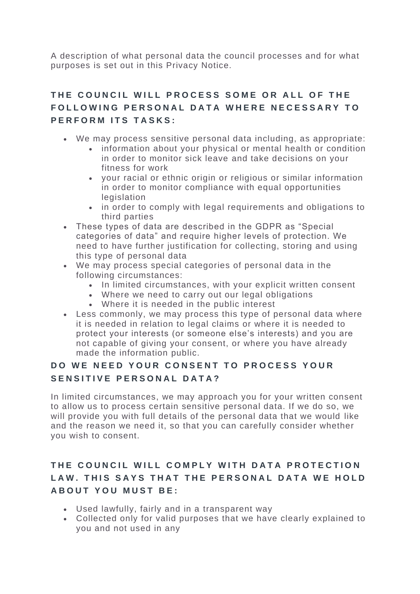A description of what personal data the council processes and for what purposes is set out in this Privacy Notice.

## **T H E C O U N C I L W I L L P R O C E S S S O M E O R A L L O F T H E**  FOLLOWING PERSONAL DATA WHERE NECESSARY TO **PERFORM ITS TASKS:**

- We may process sensitive personal data including, as appropriate:
	- information about your physical or mental health or condition in order to monitor sick leave and take decisions on your fitness for work
	- your racial or ethnic origin or religious or similar information in order to monitor compliance with equal opportunities legislation
	- in order to comply with legal requirements and obligations to third parties
- These types of data are described in the GDPR as "Special categories of data" and require higher levels of protection. We need to have further justification for collecting, storing and using this type of personal data
- We may process special categories of personal data in the following circumstances:
	- In limited circumstances, with your explicit written consent
	- Where we need to carry out our legal obligations
	- Where it is needed in the public interest
- Less commonly, we may process this type of personal data where it is needed in relation to legal claims or where it is needed to protect your interests (or someone else's interests) and you are not capable of giving your consent, or where you have already made the information public.

## **DO WE NEED YOUR CONSENT TO PROCESS YOUR** SENSITIVE PERSONAL DATA?

In limited circumstances, we may approach you for your written consent to allow us to process certain sensitive personal data. If we do so, we will provide you with full details of the personal data that we would like and the reason we need it, so that you can carefully consider whether you wish to consent.

# THE COUNCIL WILL COMPLY WITH DATA PROTECTION LAW. THIS SAYS THAT THE PERSONAL DATA WE HOLD **ABOUT YOU MUST BE:**

- Used lawfully, fairly and in a transparent way
- Collected only for valid purposes that we have clearly explained to you and not used in any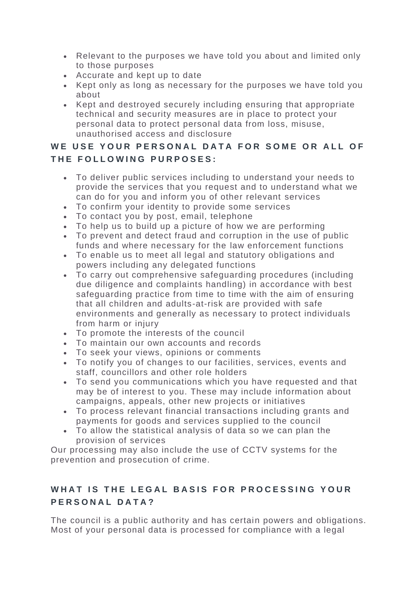- Relevant to the purposes we have told you about and limited only to those purposes
- Accurate and kept up to date
- Kept only as long as necessary for the purposes we have told you about
- Kept and destroyed securely including ensuring that appropriate technical and security measures are in place to protect your personal data to protect personal data from loss, misuse, unauthorised access and disclosure

## WE USE YOUR PERSONAL DATA FOR SOME OR ALL OF THE FOLLOWING PURPOSES:

- To deliver public services including to understand your needs to provide the services that you request and to understand what we can do for you and inform you of other relevant services
- To confirm your identity to provide some services
- To contact you by post, email, telephone
- To help us to build up a picture of how we are performing
- To prevent and detect fraud and corruption in the use of public funds and where necessary for the law enforcement functions
- To enable us to meet all legal and statutory obligations and powers including any delegated functions
- To carry out comprehensive safeguarding procedures (including due diligence and complaints handling) in accordance with best safeguarding practice from time to time with the aim of ensuring that all children and adults-at-risk are provided with safe environments and generally as necessary to protect individuals from harm or injury
- To promote the interests of the council
- To maintain our own accounts and records
- To seek your views, opinions or comments
- To notify you of changes to our facilities, services, events and staff, councillors and other role holders
- To send you communications which you have requested and that may be of interest to you. These may include information about campaigns, appeals, other new projects or initiatives
- To process relevant financial transactions including grants and payments for goods and services supplied to the council
- To allow the statistical analysis of data so we can plan the provision of services

Our processing may also include the use of CCTV systems for the prevention and prosecution of crime.

# WHAT IS THE LEGAL BASIS FOR PROCESSING YOUR **P E R S O N A L D A T A ?**

The council is a public authority and has certain powers and obligations. Most of your personal data is processed for compliance with a legal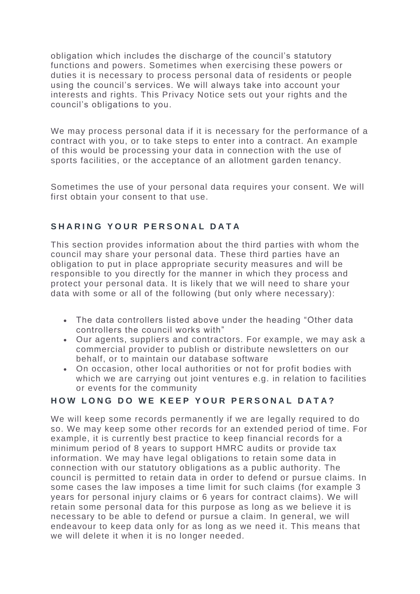obligation which includes the discharge of the council's statutory functions and powers. Sometimes when exercising these powers or duties it is necessary to process personal data of residents or people using the council's services. We will always take into account your interests and rights. This Privacy Notice sets out your rights and the council's obligations to you.

We may process personal data if it is necessary for the performance of a contract with you, or to take steps to enter into a contract. An example of this would be processing your data in connection with the use of sports facilities, or the acceptance of an allotment garden tenancy.

Sometimes the use of your personal data requires your consent. We will first obtain your consent to that use.

### SHARING YOUR PERSONAL DATA

This section provides information about the third parties with whom the council may share your personal data. These third parties have an obligation to put in place appropriate security measures and will be responsible to you directly for the manner in which they process and protect your personal data. It is likely that we will need to share your data with some or all of the following (but only where necessary):

- The data controllers listed above under the heading "Other data controllers the council works with"
- Our agents, suppliers and contractors. For example, we may ask a commercial provider to publish or distribute newsletters on our behalf, or to maintain our database software
- On occasion, other local authorities or not for profit bodies with which we are carrying out joint ventures e.g. in relation to facilities or events for the community

### **HOW LONG DO WE KEEP YOUR PERSONAL DATA?**

We will keep some records permanently if we are legally required to do so. We may keep some other records for an extended period of time. For example, it is currently best practice to keep financial records for a minimum period of 8 years to support HMRC audits or provide tax information. We may have legal obligations to retain some data in connection with our statutory obligations as a public authority. The council is permitted to retain data in order to defend or pursue claims. In some cases the law imposes a time limit for such claims (for example 3 years for personal injury claims or 6 years for contract claims). We will retain some personal data for this purpose as long as we believe it is necessary to be able to defend or pursue a claim. In general, we will endeavour to keep data only for as long as we need it. This means that we will delete it when it is no longer needed.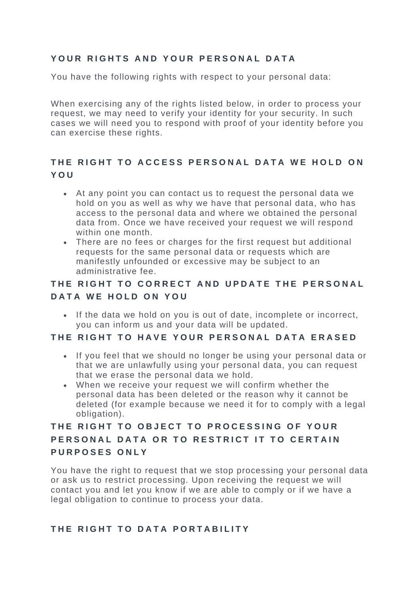### YOUR RIGHTS AND YOUR PERSONAL DATA

You have the following rights with respect to your personal data:

When exercising any of the rights listed below, in order to process your request, we may need to verify your identity for your security. In such cases we will need you to respond with proof of your identity before you can exercise these rights.

## THE RIGHT TO ACCESS PERSONAL DATA WE HOLD ON **Y O U**

- At any point you can contact us to request the personal data we hold on you as well as why we have that personal data, who has access to the personal data and where we obtained the personal data from. Once we have received your request we will respond within one month.
- There are no fees or charges for the first request but additional requests for the same personal data or requests which are manifestly unfounded or excessive may be subject to an administrative fee.

## THE RIGHT TO CORRECT AND UPDATE THE PERSONAL **DATA WE HOLD ON YOU**

• If the data we hold on you is out of date, incomplete or incorrect, you can inform us and your data will be updated.

#### **T H E R I G H T T O H A V E Y O U R P E R S O N A L D A T A E R A S E D**

- If you feel that we should no longer be using your personal data or that we are unlawfully using your personal data, you can request that we erase the personal data we hold.
- When we receive your request we will confirm whether the personal data has been deleted or the reason why it cannot be deleted (for example because we need it for to comply with a legal obligation).

## THE RIGHT TO OBJECT TO PROCESSING OF YOUR **PERSONAL DATA OR TO RESTRICT IT TO CERTAIN P U R P O S E S O N L Y**

You have the right to request that we stop processing your personal data or ask us to restrict processing. Upon receiving the request we will contact you and let you know if we are able to comply or if we have a legal obligation to continue to process your data.

### THE RIGHT TO DATA PORTABILITY